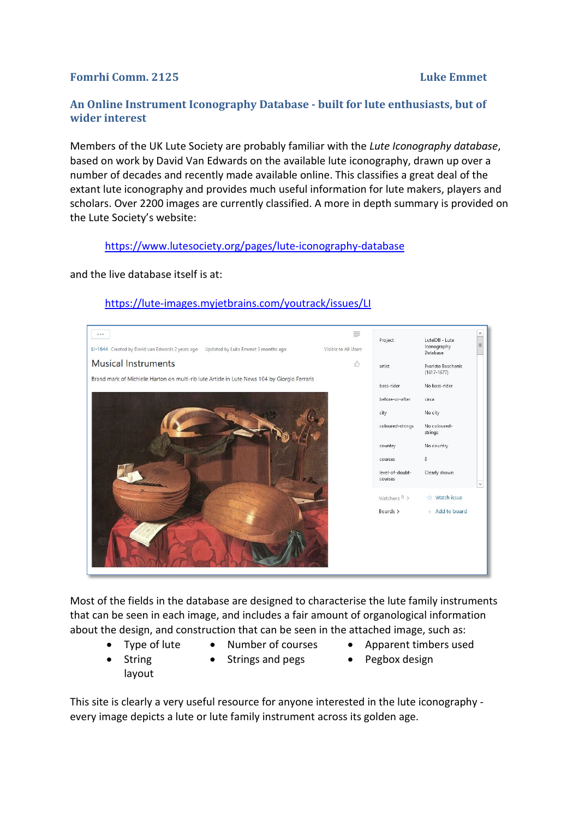# **Fomrhi Comm. 2125 Luke Emmet**

# **An Online Instrument Iconography Database - built for lute enthusiasts, but of wider interest**

Members of the UK Lute Society are probably familiar with the *Lute Iconography database*, based on work by David Van Edwards on the available lute iconography, drawn up over a number of decades and recently made available online. This classifies a great deal of the extant lute iconography and provides much useful information for lute makers, players and scholars. Over 2200 images are currently classified. A more in depth summary is provided on the Lute Society's website:

## <https://www.lutesociety.org/pages/lute-iconography-database>

and the live database itself is at:

## <https://lute-images.myjetbrains.com/youtrack/issues/LI>



Most of the fields in the database are designed to characterise the lute family instruments that can be seen in each image, and includes a fair amount of organological information about the design, and construction that can be seen in the attached image, such as:

- 
- 
- Type of lute Number of courses Apparent timbers used
- String layout
- Strings and pegs Pegbox design
- 

This site is clearly a very useful resource for anyone interested in the lute iconography every image depicts a lute or lute family instrument across its golden age.